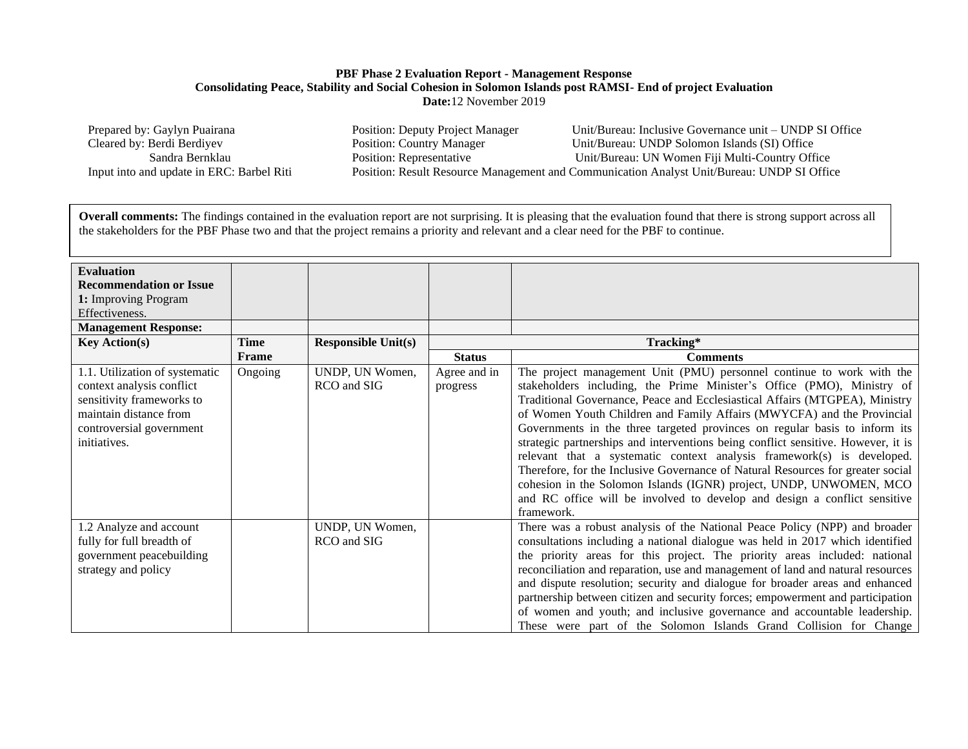## **PBF Phase 2 Evaluation Report - Management Response Consolidating Peace, Stability and Social Cohesion in Solomon Islands post RAMSI- End of project Evaluation Date:**12 November 2019

Prepared by: Gaylyn Puairana Position: Deputy Project Manager Unit/Bureau: Inclusive Governance unit – UNDP SI Office<br>Cleared by: Berdi Berdiyev Position: Country Manager Unit/Bureau: UNDP Solomon Islands (SI) Office Position: Country Manager Unit/Bureau: UNDP Solomon Islands (SI) Office Sandra Bernklau Position: Representative Unit/Bureau: UN Women Fiji Multi-Country Office<br>Input into and update in ERC: Barbel Riti Position: Result Resource Management and Communication Analyst Unit/Bureau: UNDP SI Office Position: Result Resource Management and Communication Analyst Unit/Bureau: UNDP SI Office

**Overall comments:** The findings contained in the evaluation report are not surprising. It is pleasing that the evaluation found that there is strong support across all the stakeholders for the PBF Phase two and that the project remains a priority and relevant and a clear need for the PBF to continue.

| <b>Evaluation</b><br><b>Recommendation or Issue</b><br>1: Improving Program<br>Effectiveness.                                                                  |             |                                |                          |                                                                                                                                                                                                                                                                                                                                                                                                                                                                                                                                                                                                                                                                                                                                                                                                           |
|----------------------------------------------------------------------------------------------------------------------------------------------------------------|-------------|--------------------------------|--------------------------|-----------------------------------------------------------------------------------------------------------------------------------------------------------------------------------------------------------------------------------------------------------------------------------------------------------------------------------------------------------------------------------------------------------------------------------------------------------------------------------------------------------------------------------------------------------------------------------------------------------------------------------------------------------------------------------------------------------------------------------------------------------------------------------------------------------|
| <b>Management Response:</b>                                                                                                                                    |             |                                |                          |                                                                                                                                                                                                                                                                                                                                                                                                                                                                                                                                                                                                                                                                                                                                                                                                           |
| <b>Key Action(s)</b>                                                                                                                                           | <b>Time</b> | <b>Responsible Unit(s)</b>     |                          | Tracking*                                                                                                                                                                                                                                                                                                                                                                                                                                                                                                                                                                                                                                                                                                                                                                                                 |
|                                                                                                                                                                | Frame       |                                | <b>Status</b>            | <b>Comments</b>                                                                                                                                                                                                                                                                                                                                                                                                                                                                                                                                                                                                                                                                                                                                                                                           |
| 1.1. Utilization of systematic<br>context analysis conflict<br>sensitivity frameworks to<br>maintain distance from<br>controversial government<br>initiatives. | Ongoing     | UNDP, UN Women,<br>RCO and SIG | Agree and in<br>progress | The project management Unit (PMU) personnel continue to work with the<br>stakeholders including, the Prime Minister's Office (PMO), Ministry of<br>Traditional Governance, Peace and Ecclesiastical Affairs (MTGPEA), Ministry<br>of Women Youth Children and Family Affairs (MWYCFA) and the Provincial<br>Governments in the three targeted provinces on regular basis to inform its<br>strategic partnerships and interventions being conflict sensitive. However, it is<br>relevant that a systematic context analysis framework(s) is developed.<br>Therefore, for the Inclusive Governance of Natural Resources for greater social<br>cohesion in the Solomon Islands (IGNR) project, UNDP, UNWOMEN, MCO<br>and RC office will be involved to develop and design a conflict sensitive<br>framework. |
| 1.2 Analyze and account<br>fully for full breadth of<br>government peacebuilding<br>strategy and policy                                                        |             | UNDP, UN Women,<br>RCO and SIG |                          | There was a robust analysis of the National Peace Policy (NPP) and broader<br>consultations including a national dialogue was held in 2017 which identified<br>the priority areas for this project. The priority areas included: national<br>reconciliation and reparation, use and management of land and natural resources<br>and dispute resolution; security and dialogue for broader areas and enhanced<br>partnership between citizen and security forces; empowerment and participation<br>of women and youth; and inclusive governance and accountable leadership.<br>These were part of the Solomon Islands Grand Collision for Change                                                                                                                                                           |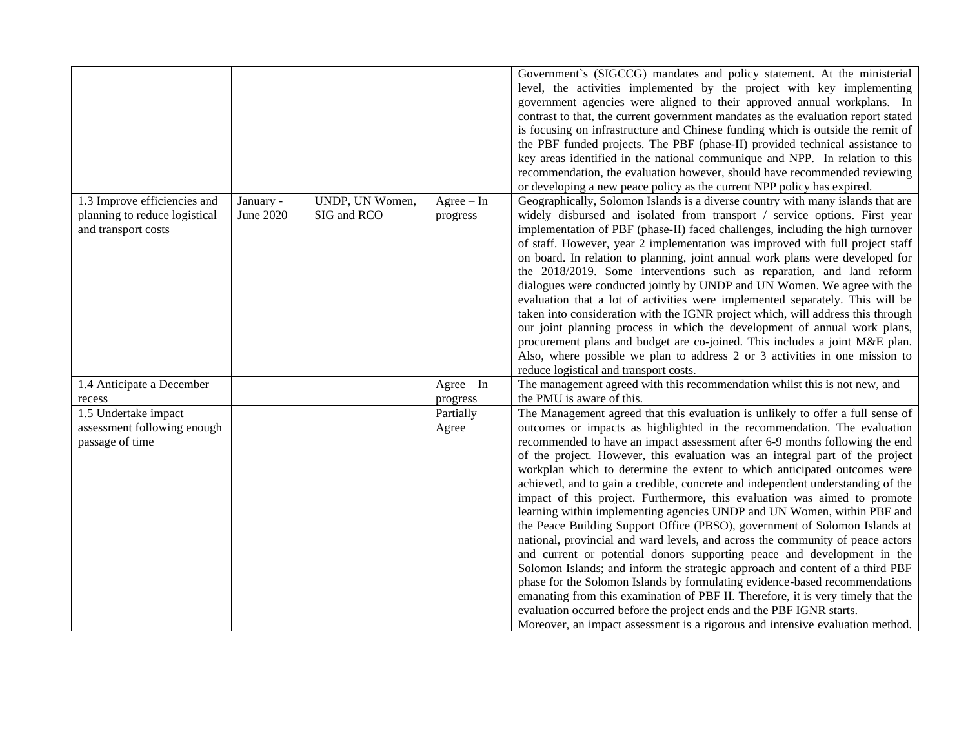|                               |           |                 |              | Government's (SIGCCG) mandates and policy statement. At the ministerial<br>level, the activities implemented by the project with key implementing<br>government agencies were aligned to their approved annual workplans. In<br>contrast to that, the current government mandates as the evaluation report stated<br>is focusing on infrastructure and Chinese funding which is outside the remit of<br>the PBF funded projects. The PBF (phase-II) provided technical assistance to<br>key areas identified in the national communique and NPP. In relation to this<br>recommendation, the evaluation however, should have recommended reviewing<br>or developing a new peace policy as the current NPP policy has expired. |
|-------------------------------|-----------|-----------------|--------------|------------------------------------------------------------------------------------------------------------------------------------------------------------------------------------------------------------------------------------------------------------------------------------------------------------------------------------------------------------------------------------------------------------------------------------------------------------------------------------------------------------------------------------------------------------------------------------------------------------------------------------------------------------------------------------------------------------------------------|
| 1.3 Improve efficiencies and  | January - | UNDP, UN Women, | $Agree - In$ | Geographically, Solomon Islands is a diverse country with many islands that are                                                                                                                                                                                                                                                                                                                                                                                                                                                                                                                                                                                                                                              |
| planning to reduce logistical | June 2020 | SIG and RCO     | progress     | widely disbursed and isolated from transport / service options. First year                                                                                                                                                                                                                                                                                                                                                                                                                                                                                                                                                                                                                                                   |
| and transport costs           |           |                 |              | implementation of PBF (phase-II) faced challenges, including the high turnover                                                                                                                                                                                                                                                                                                                                                                                                                                                                                                                                                                                                                                               |
|                               |           |                 |              | of staff. However, year 2 implementation was improved with full project staff<br>on board. In relation to planning, joint annual work plans were developed for                                                                                                                                                                                                                                                                                                                                                                                                                                                                                                                                                               |
|                               |           |                 |              | the 2018/2019. Some interventions such as reparation, and land reform                                                                                                                                                                                                                                                                                                                                                                                                                                                                                                                                                                                                                                                        |
|                               |           |                 |              | dialogues were conducted jointly by UNDP and UN Women. We agree with the                                                                                                                                                                                                                                                                                                                                                                                                                                                                                                                                                                                                                                                     |
|                               |           |                 |              | evaluation that a lot of activities were implemented separately. This will be                                                                                                                                                                                                                                                                                                                                                                                                                                                                                                                                                                                                                                                |
|                               |           |                 |              | taken into consideration with the IGNR project which, will address this through                                                                                                                                                                                                                                                                                                                                                                                                                                                                                                                                                                                                                                              |
|                               |           |                 |              | our joint planning process in which the development of annual work plans,<br>procurement plans and budget are co-joined. This includes a joint M&E plan.                                                                                                                                                                                                                                                                                                                                                                                                                                                                                                                                                                     |
|                               |           |                 |              | Also, where possible we plan to address 2 or 3 activities in one mission to                                                                                                                                                                                                                                                                                                                                                                                                                                                                                                                                                                                                                                                  |
|                               |           |                 |              | reduce logistical and transport costs.                                                                                                                                                                                                                                                                                                                                                                                                                                                                                                                                                                                                                                                                                       |
| 1.4 Anticipate a December     |           |                 | $Agree - In$ | The management agreed with this recommendation whilst this is not new, and                                                                                                                                                                                                                                                                                                                                                                                                                                                                                                                                                                                                                                                   |
| recess                        |           |                 | progress     | the PMU is aware of this.                                                                                                                                                                                                                                                                                                                                                                                                                                                                                                                                                                                                                                                                                                    |
| 1.5 Undertake impact          |           |                 | Partially    | The Management agreed that this evaluation is unlikely to offer a full sense of                                                                                                                                                                                                                                                                                                                                                                                                                                                                                                                                                                                                                                              |
| assessment following enough   |           |                 | Agree        | outcomes or impacts as highlighted in the recommendation. The evaluation                                                                                                                                                                                                                                                                                                                                                                                                                                                                                                                                                                                                                                                     |
| passage of time               |           |                 |              | recommended to have an impact assessment after 6-9 months following the end<br>of the project. However, this evaluation was an integral part of the project                                                                                                                                                                                                                                                                                                                                                                                                                                                                                                                                                                  |
|                               |           |                 |              | workplan which to determine the extent to which anticipated outcomes were                                                                                                                                                                                                                                                                                                                                                                                                                                                                                                                                                                                                                                                    |
|                               |           |                 |              | achieved, and to gain a credible, concrete and independent understanding of the                                                                                                                                                                                                                                                                                                                                                                                                                                                                                                                                                                                                                                              |
|                               |           |                 |              | impact of this project. Furthermore, this evaluation was aimed to promote                                                                                                                                                                                                                                                                                                                                                                                                                                                                                                                                                                                                                                                    |
|                               |           |                 |              | learning within implementing agencies UNDP and UN Women, within PBF and                                                                                                                                                                                                                                                                                                                                                                                                                                                                                                                                                                                                                                                      |
|                               |           |                 |              | the Peace Building Support Office (PBSO), government of Solomon Islands at                                                                                                                                                                                                                                                                                                                                                                                                                                                                                                                                                                                                                                                   |
|                               |           |                 |              | national, provincial and ward levels, and across the community of peace actors                                                                                                                                                                                                                                                                                                                                                                                                                                                                                                                                                                                                                                               |
|                               |           |                 |              | and current or potential donors supporting peace and development in the<br>Solomon Islands; and inform the strategic approach and content of a third PBF                                                                                                                                                                                                                                                                                                                                                                                                                                                                                                                                                                     |
|                               |           |                 |              | phase for the Solomon Islands by formulating evidence-based recommendations                                                                                                                                                                                                                                                                                                                                                                                                                                                                                                                                                                                                                                                  |
|                               |           |                 |              | emanating from this examination of PBF II. Therefore, it is very timely that the                                                                                                                                                                                                                                                                                                                                                                                                                                                                                                                                                                                                                                             |
|                               |           |                 |              | evaluation occurred before the project ends and the PBF IGNR starts.                                                                                                                                                                                                                                                                                                                                                                                                                                                                                                                                                                                                                                                         |
|                               |           |                 |              | Moreover, an impact assessment is a rigorous and intensive evaluation method.                                                                                                                                                                                                                                                                                                                                                                                                                                                                                                                                                                                                                                                |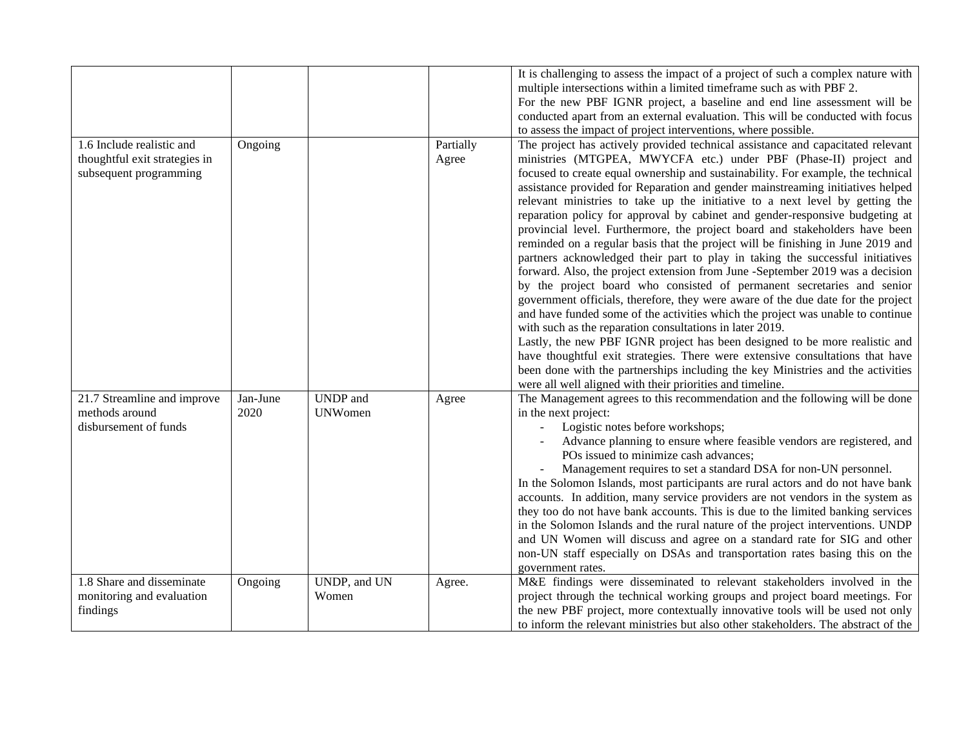| 1.6 Include realistic and<br>thoughtful exit strategies in<br>subsequent programming | Ongoing          |                            | Partially<br>Agree | It is challenging to assess the impact of a project of such a complex nature with<br>multiple intersections within a limited timeframe such as with PBF 2.<br>For the new PBF IGNR project, a baseline and end line assessment will be<br>conducted apart from an external evaluation. This will be conducted with focus<br>to assess the impact of project interventions, where possible.<br>The project has actively provided technical assistance and capacitated relevant<br>ministries (MTGPEA, MWYCFA etc.) under PBF (Phase-II) project and<br>focused to create equal ownership and sustainability. For example, the technical<br>assistance provided for Reparation and gender mainstreaming initiatives helped<br>relevant ministries to take up the initiative to a next level by getting the<br>reparation policy for approval by cabinet and gender-responsive budgeting at<br>provincial level. Furthermore, the project board and stakeholders have been<br>reminded on a regular basis that the project will be finishing in June 2019 and<br>partners acknowledged their part to play in taking the successful initiatives |
|--------------------------------------------------------------------------------------|------------------|----------------------------|--------------------|---------------------------------------------------------------------------------------------------------------------------------------------------------------------------------------------------------------------------------------------------------------------------------------------------------------------------------------------------------------------------------------------------------------------------------------------------------------------------------------------------------------------------------------------------------------------------------------------------------------------------------------------------------------------------------------------------------------------------------------------------------------------------------------------------------------------------------------------------------------------------------------------------------------------------------------------------------------------------------------------------------------------------------------------------------------------------------------------------------------------------------------------|
|                                                                                      |                  |                            |                    | forward. Also, the project extension from June -September 2019 was a decision<br>by the project board who consisted of permanent secretaries and senior<br>government officials, therefore, they were aware of the due date for the project<br>and have funded some of the activities which the project was unable to continue<br>with such as the reparation consultations in later 2019.<br>Lastly, the new PBF IGNR project has been designed to be more realistic and<br>have thoughtful exit strategies. There were extensive consultations that have<br>been done with the partnerships including the key Ministries and the activities<br>were all well aligned with their priorities and timeline.                                                                                                                                                                                                                                                                                                                                                                                                                                  |
| 21.7 Streamline and improve<br>methods around<br>disbursement of funds               | Jan-June<br>2020 | UNDP and<br><b>UNWomen</b> | Agree              | The Management agrees to this recommendation and the following will be done<br>in the next project:<br>Logistic notes before workshops;<br>Advance planning to ensure where feasible vendors are registered, and<br>POs issued to minimize cash advances;<br>Management requires to set a standard DSA for non-UN personnel.<br>In the Solomon Islands, most participants are rural actors and do not have bank<br>accounts. In addition, many service providers are not vendors in the system as<br>they too do not have bank accounts. This is due to the limited banking services<br>in the Solomon Islands and the rural nature of the project interventions. UNDP<br>and UN Women will discuss and agree on a standard rate for SIG and other<br>non-UN staff especially on DSAs and transportation rates basing this on the<br>government rates.                                                                                                                                                                                                                                                                                      |
| 1.8 Share and disseminate<br>monitoring and evaluation<br>findings                   | Ongoing          | UNDP, and UN<br>Women      | Agree.             | M&E findings were disseminated to relevant stakeholders involved in the<br>project through the technical working groups and project board meetings. For<br>the new PBF project, more contextually innovative tools will be used not only<br>to inform the relevant ministries but also other stakeholders. The abstract of the                                                                                                                                                                                                                                                                                                                                                                                                                                                                                                                                                                                                                                                                                                                                                                                                              |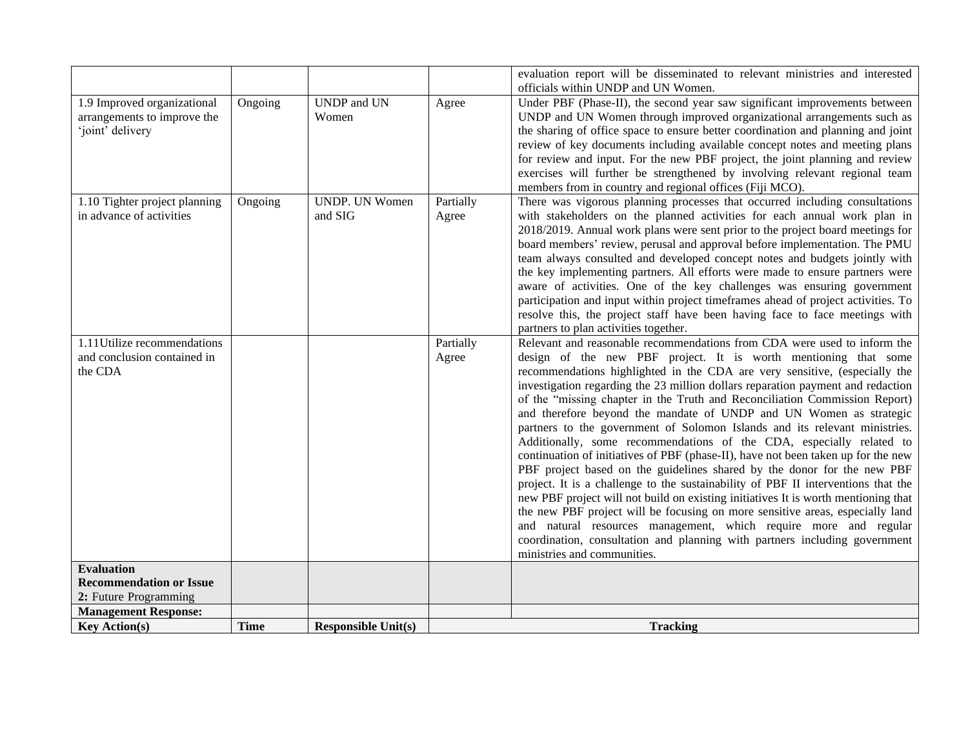|                                                                               |             |                                  |                    | evaluation report will be disseminated to relevant ministries and interested<br>officials within UNDP and UN Women.                                                                                                                                                                                                                                                                                                                                                                                                                                                                                                                                                                                                                                                                                                                                                                                                                                                                                                                                                                                                                                                                                                                 |
|-------------------------------------------------------------------------------|-------------|----------------------------------|--------------------|-------------------------------------------------------------------------------------------------------------------------------------------------------------------------------------------------------------------------------------------------------------------------------------------------------------------------------------------------------------------------------------------------------------------------------------------------------------------------------------------------------------------------------------------------------------------------------------------------------------------------------------------------------------------------------------------------------------------------------------------------------------------------------------------------------------------------------------------------------------------------------------------------------------------------------------------------------------------------------------------------------------------------------------------------------------------------------------------------------------------------------------------------------------------------------------------------------------------------------------|
| 1.9 Improved organizational<br>arrangements to improve the<br>joint' delivery | Ongoing     | UNDP and UN<br>Women             | Agree              | Under PBF (Phase-II), the second year saw significant improvements between<br>UNDP and UN Women through improved organizational arrangements such as<br>the sharing of office space to ensure better coordination and planning and joint<br>review of key documents including available concept notes and meeting plans<br>for review and input. For the new PBF project, the joint planning and review<br>exercises will further be strengthened by involving relevant regional team<br>members from in country and regional offices (Fiji MCO).                                                                                                                                                                                                                                                                                                                                                                                                                                                                                                                                                                                                                                                                                   |
| 1.10 Tighter project planning<br>in advance of activities                     | Ongoing     | <b>UNDP. UN Women</b><br>and SIG | Partially<br>Agree | There was vigorous planning processes that occurred including consultations<br>with stakeholders on the planned activities for each annual work plan in<br>2018/2019. Annual work plans were sent prior to the project board meetings for<br>board members' review, perusal and approval before implementation. The PMU<br>team always consulted and developed concept notes and budgets jointly with<br>the key implementing partners. All efforts were made to ensure partners were<br>aware of activities. One of the key challenges was ensuring government<br>participation and input within project timeframes ahead of project activities. To<br>resolve this, the project staff have been having face to face meetings with<br>partners to plan activities together.                                                                                                                                                                                                                                                                                                                                                                                                                                                        |
| 1.11Utilize recommendations<br>and conclusion contained in<br>the CDA         |             |                                  | Partially<br>Agree | Relevant and reasonable recommendations from CDA were used to inform the<br>design of the new PBF project. It is worth mentioning that some<br>recommendations highlighted in the CDA are very sensitive, (especially the<br>investigation regarding the 23 million dollars reparation payment and redaction<br>of the "missing chapter in the Truth and Reconciliation Commission Report)<br>and therefore beyond the mandate of UNDP and UN Women as strategic<br>partners to the government of Solomon Islands and its relevant ministries.<br>Additionally, some recommendations of the CDA, especially related to<br>continuation of initiatives of PBF (phase-II), have not been taken up for the new<br>PBF project based on the guidelines shared by the donor for the new PBF<br>project. It is a challenge to the sustainability of PBF II interventions that the<br>new PBF project will not build on existing initiatives It is worth mentioning that<br>the new PBF project will be focusing on more sensitive areas, especially land<br>and natural resources management, which require more and regular<br>coordination, consultation and planning with partners including government<br>ministries and communities. |
| <b>Evaluation</b><br><b>Recommendation or Issue</b><br>2: Future Programming  |             |                                  |                    |                                                                                                                                                                                                                                                                                                                                                                                                                                                                                                                                                                                                                                                                                                                                                                                                                                                                                                                                                                                                                                                                                                                                                                                                                                     |
| <b>Management Response:</b>                                                   |             |                                  |                    |                                                                                                                                                                                                                                                                                                                                                                                                                                                                                                                                                                                                                                                                                                                                                                                                                                                                                                                                                                                                                                                                                                                                                                                                                                     |
| <b>Key Action(s)</b>                                                          | <b>Time</b> | <b>Responsible Unit(s)</b>       |                    | <b>Tracking</b>                                                                                                                                                                                                                                                                                                                                                                                                                                                                                                                                                                                                                                                                                                                                                                                                                                                                                                                                                                                                                                                                                                                                                                                                                     |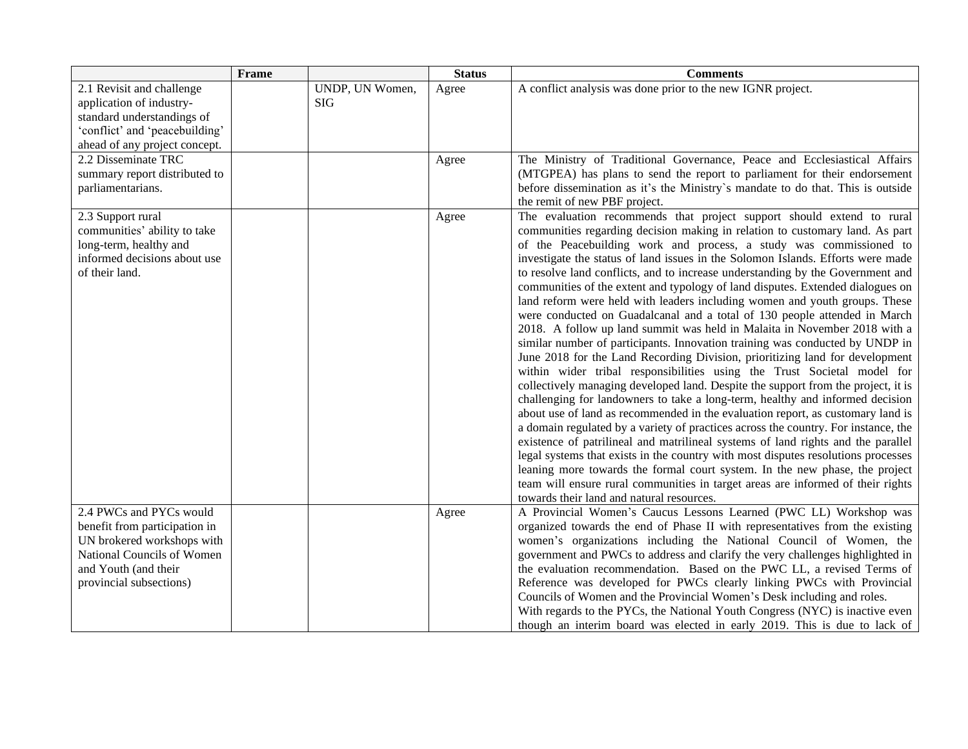|                                                                                                                                                                         | Frame |                               | <b>Status</b> | <b>Comments</b>                                                                                                                                                                                                                                                                                                                                                                                                                                                                                                                                                                                                                                                                                                                                                                                                                                                                                                                                                                                                                                                                                                                                                                                                                                                                                                                                                                                                                                                                                                                                                                                                                                                                                              |
|-------------------------------------------------------------------------------------------------------------------------------------------------------------------------|-------|-------------------------------|---------------|--------------------------------------------------------------------------------------------------------------------------------------------------------------------------------------------------------------------------------------------------------------------------------------------------------------------------------------------------------------------------------------------------------------------------------------------------------------------------------------------------------------------------------------------------------------------------------------------------------------------------------------------------------------------------------------------------------------------------------------------------------------------------------------------------------------------------------------------------------------------------------------------------------------------------------------------------------------------------------------------------------------------------------------------------------------------------------------------------------------------------------------------------------------------------------------------------------------------------------------------------------------------------------------------------------------------------------------------------------------------------------------------------------------------------------------------------------------------------------------------------------------------------------------------------------------------------------------------------------------------------------------------------------------------------------------------------------------|
| 2.1 Revisit and challenge<br>application of industry-<br>standard understandings of                                                                                     |       | UNDP, UN Women,<br><b>SIG</b> | Agree         | A conflict analysis was done prior to the new IGNR project.                                                                                                                                                                                                                                                                                                                                                                                                                                                                                                                                                                                                                                                                                                                                                                                                                                                                                                                                                                                                                                                                                                                                                                                                                                                                                                                                                                                                                                                                                                                                                                                                                                                  |
| 'conflict' and 'peacebuilding'<br>ahead of any project concept.                                                                                                         |       |                               |               |                                                                                                                                                                                                                                                                                                                                                                                                                                                                                                                                                                                                                                                                                                                                                                                                                                                                                                                                                                                                                                                                                                                                                                                                                                                                                                                                                                                                                                                                                                                                                                                                                                                                                                              |
| 2.2 Disseminate TRC<br>summary report distributed to<br>parliamentarians.                                                                                               |       |                               | Agree         | The Ministry of Traditional Governance, Peace and Ecclesiastical Affairs<br>(MTGPEA) has plans to send the report to parliament for their endorsement<br>before dissemination as it's the Ministry's mandate to do that. This is outside<br>the remit of new PBF project.                                                                                                                                                                                                                                                                                                                                                                                                                                                                                                                                                                                                                                                                                                                                                                                                                                                                                                                                                                                                                                                                                                                                                                                                                                                                                                                                                                                                                                    |
| 2.3 Support rural<br>communities' ability to take<br>long-term, healthy and<br>informed decisions about use<br>of their land.                                           |       |                               | Agree         | The evaluation recommends that project support should extend to rural<br>communities regarding decision making in relation to customary land. As part<br>of the Peacebuilding work and process, a study was commissioned to<br>investigate the status of land issues in the Solomon Islands. Efforts were made<br>to resolve land conflicts, and to increase understanding by the Government and<br>communities of the extent and typology of land disputes. Extended dialogues on<br>land reform were held with leaders including women and youth groups. These<br>were conducted on Guadalcanal and a total of 130 people attended in March<br>2018. A follow up land summit was held in Malaita in November 2018 with a<br>similar number of participants. Innovation training was conducted by UNDP in<br>June 2018 for the Land Recording Division, prioritizing land for development<br>within wider tribal responsibilities using the Trust Societal model for<br>collectively managing developed land. Despite the support from the project, it is<br>challenging for landowners to take a long-term, healthy and informed decision<br>about use of land as recommended in the evaluation report, as customary land is<br>a domain regulated by a variety of practices across the country. For instance, the<br>existence of patrilineal and matrilineal systems of land rights and the parallel<br>legal systems that exists in the country with most disputes resolutions processes<br>leaning more towards the formal court system. In the new phase, the project<br>team will ensure rural communities in target areas are informed of their rights<br>towards their land and natural resources. |
| 2.4 PWCs and PYCs would<br>benefit from participation in<br>UN brokered workshops with<br>National Councils of Women<br>and Youth (and their<br>provincial subsections) |       |                               | Agree         | A Provincial Women's Caucus Lessons Learned (PWC LL) Workshop was<br>organized towards the end of Phase II with representatives from the existing<br>women's organizations including the National Council of Women, the<br>government and PWCs to address and clarify the very challenges highlighted in<br>the evaluation recommendation. Based on the PWC LL, a revised Terms of<br>Reference was developed for PWCs clearly linking PWCs with Provincial<br>Councils of Women and the Provincial Women's Desk including and roles.<br>With regards to the PYCs, the National Youth Congress (NYC) is inactive even<br>though an interim board was elected in early 2019. This is due to lack of                                                                                                                                                                                                                                                                                                                                                                                                                                                                                                                                                                                                                                                                                                                                                                                                                                                                                                                                                                                                           |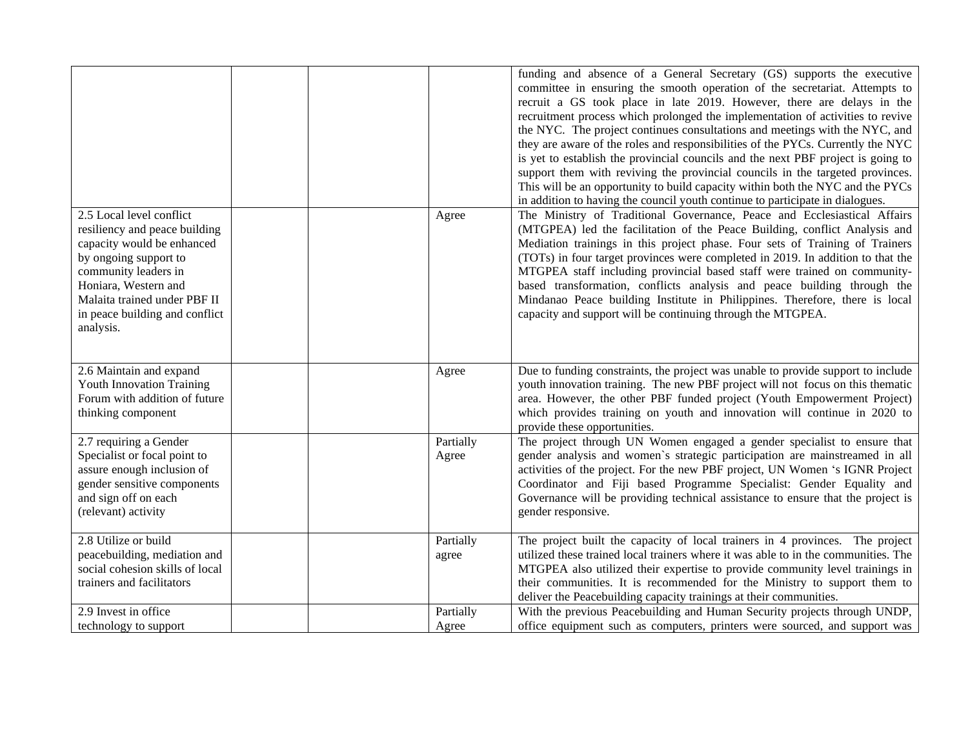| 2.5 Local level conflict<br>resiliency and peace building<br>capacity would be enhanced<br>by ongoing support to<br>community leaders in<br>Honiara, Western and<br>Malaita trained under PBF II<br>in peace building and conflict<br>analysis. | Agree              | funding and absence of a General Secretary (GS) supports the executive<br>committee in ensuring the smooth operation of the secretariat. Attempts to<br>recruit a GS took place in late 2019. However, there are delays in the<br>recruitment process which prolonged the implementation of activities to revive<br>the NYC. The project continues consultations and meetings with the NYC, and<br>they are aware of the roles and responsibilities of the PYCs. Currently the NYC<br>is yet to establish the provincial councils and the next PBF project is going to<br>support them with reviving the provincial councils in the targeted provinces.<br>This will be an opportunity to build capacity within both the NYC and the PYCs<br>in addition to having the council youth continue to participate in dialogues.<br>The Ministry of Traditional Governance, Peace and Ecclesiastical Affairs<br>(MTGPEA) led the facilitation of the Peace Building, conflict Analysis and<br>Mediation trainings in this project phase. Four sets of Training of Trainers<br>(TOTs) in four target provinces were completed in 2019. In addition to that the<br>MTGPEA staff including provincial based staff were trained on community-<br>based transformation, conflicts analysis and peace building through the<br>Mindanao Peace building Institute in Philippines. Therefore, there is local<br>capacity and support will be continuing through the MTGPEA. |
|-------------------------------------------------------------------------------------------------------------------------------------------------------------------------------------------------------------------------------------------------|--------------------|--------------------------------------------------------------------------------------------------------------------------------------------------------------------------------------------------------------------------------------------------------------------------------------------------------------------------------------------------------------------------------------------------------------------------------------------------------------------------------------------------------------------------------------------------------------------------------------------------------------------------------------------------------------------------------------------------------------------------------------------------------------------------------------------------------------------------------------------------------------------------------------------------------------------------------------------------------------------------------------------------------------------------------------------------------------------------------------------------------------------------------------------------------------------------------------------------------------------------------------------------------------------------------------------------------------------------------------------------------------------------------------------------------------------------------------------------------------|
| 2.6 Maintain and expand<br><b>Youth Innovation Training</b><br>Forum with addition of future<br>thinking component                                                                                                                              | Agree              | Due to funding constraints, the project was unable to provide support to include<br>youth innovation training. The new PBF project will not focus on this thematic<br>area. However, the other PBF funded project (Youth Empowerment Project)<br>which provides training on youth and innovation will continue in 2020 to<br>provide these opportunities.                                                                                                                                                                                                                                                                                                                                                                                                                                                                                                                                                                                                                                                                                                                                                                                                                                                                                                                                                                                                                                                                                                    |
| 2.7 requiring a Gender<br>Specialist or focal point to<br>assure enough inclusion of<br>gender sensitive components<br>and sign off on each<br>(relevant) activity                                                                              | Partially<br>Agree | The project through UN Women engaged a gender specialist to ensure that<br>gender analysis and women's strategic participation are mainstreamed in all<br>activities of the project. For the new PBF project, UN Women 's IGNR Project<br>Coordinator and Fiji based Programme Specialist: Gender Equality and<br>Governance will be providing technical assistance to ensure that the project is<br>gender responsive.                                                                                                                                                                                                                                                                                                                                                                                                                                                                                                                                                                                                                                                                                                                                                                                                                                                                                                                                                                                                                                      |
| 2.8 Utilize or build<br>peacebuilding, mediation and<br>social cohesion skills of local<br>trainers and facilitators                                                                                                                            | Partially<br>agree | The project built the capacity of local trainers in 4 provinces. The project<br>utilized these trained local trainers where it was able to in the communities. The<br>MTGPEA also utilized their expertise to provide community level trainings in<br>their communities. It is recommended for the Ministry to support them to<br>deliver the Peacebuilding capacity trainings at their communities.                                                                                                                                                                                                                                                                                                                                                                                                                                                                                                                                                                                                                                                                                                                                                                                                                                                                                                                                                                                                                                                         |
| 2.9 Invest in office<br>technology to support                                                                                                                                                                                                   | Partially<br>Agree | With the previous Peacebuilding and Human Security projects through UNDP,<br>office equipment such as computers, printers were sourced, and support was                                                                                                                                                                                                                                                                                                                                                                                                                                                                                                                                                                                                                                                                                                                                                                                                                                                                                                                                                                                                                                                                                                                                                                                                                                                                                                      |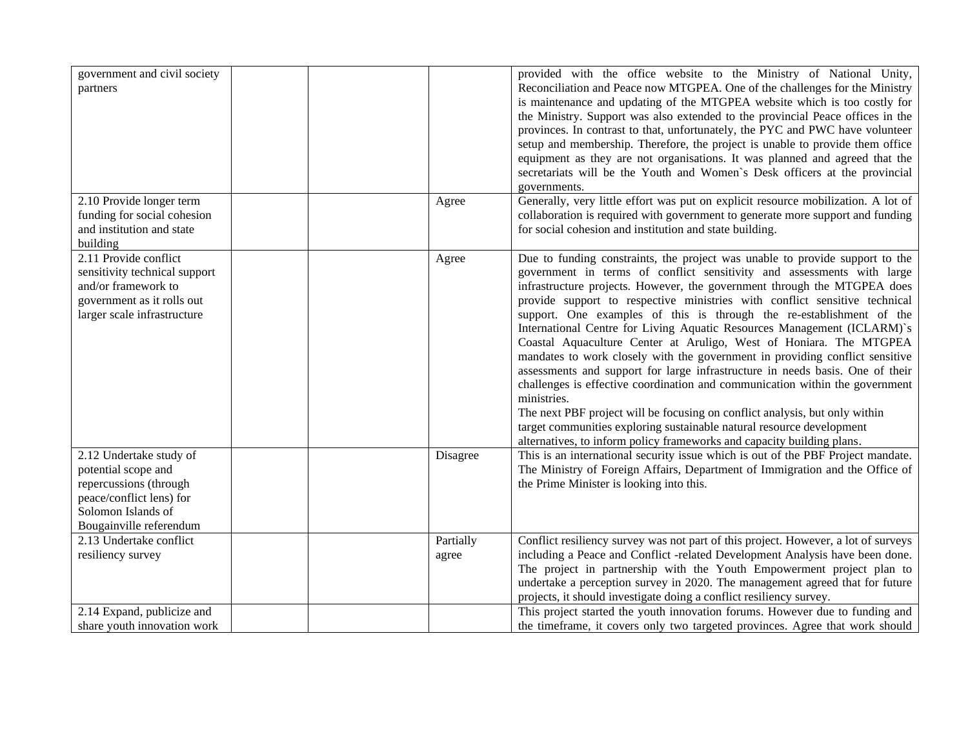| government and civil society<br>partners                                                                                                              |                    | provided with the office website to the Ministry of National Unity,<br>Reconciliation and Peace now MTGPEA. One of the challenges for the Ministry<br>is maintenance and updating of the MTGPEA website which is too costly for<br>the Ministry. Support was also extended to the provincial Peace offices in the<br>provinces. In contrast to that, unfortunately, the PYC and PWC have volunteer<br>setup and membership. Therefore, the project is unable to provide them office<br>equipment as they are not organisations. It was planned and agreed that the<br>secretariats will be the Youth and Women's Desk officers at the provincial<br>governments.                                                                                                                                                                                                                                                                                                                                                                            |
|-------------------------------------------------------------------------------------------------------------------------------------------------------|--------------------|---------------------------------------------------------------------------------------------------------------------------------------------------------------------------------------------------------------------------------------------------------------------------------------------------------------------------------------------------------------------------------------------------------------------------------------------------------------------------------------------------------------------------------------------------------------------------------------------------------------------------------------------------------------------------------------------------------------------------------------------------------------------------------------------------------------------------------------------------------------------------------------------------------------------------------------------------------------------------------------------------------------------------------------------|
| 2.10 Provide longer term<br>funding for social cohesion<br>and institution and state<br>building                                                      | Agree              | Generally, very little effort was put on explicit resource mobilization. A lot of<br>collaboration is required with government to generate more support and funding<br>for social cohesion and institution and state building.                                                                                                                                                                                                                                                                                                                                                                                                                                                                                                                                                                                                                                                                                                                                                                                                              |
| 2.11 Provide conflict<br>sensitivity technical support<br>and/or framework to<br>government as it rolls out<br>larger scale infrastructure            | Agree              | Due to funding constraints, the project was unable to provide support to the<br>government in terms of conflict sensitivity and assessments with large<br>infrastructure projects. However, the government through the MTGPEA does<br>provide support to respective ministries with conflict sensitive technical<br>support. One examples of this is through the re-establishment of the<br>International Centre for Living Aquatic Resources Management (ICLARM)'s<br>Coastal Aquaculture Center at Aruligo, West of Honiara. The MTGPEA<br>mandates to work closely with the government in providing conflict sensitive<br>assessments and support for large infrastructure in needs basis. One of their<br>challenges is effective coordination and communication within the government<br>ministries.<br>The next PBF project will be focusing on conflict analysis, but only within<br>target communities exploring sustainable natural resource development<br>alternatives, to inform policy frameworks and capacity building plans. |
| 2.12 Undertake study of<br>potential scope and<br>repercussions (through<br>peace/conflict lens) for<br>Solomon Islands of<br>Bougainville referendum | Disagree           | This is an international security issue which is out of the PBF Project mandate.<br>The Ministry of Foreign Affairs, Department of Immigration and the Office of<br>the Prime Minister is looking into this.                                                                                                                                                                                                                                                                                                                                                                                                                                                                                                                                                                                                                                                                                                                                                                                                                                |
| 2.13 Undertake conflict<br>resiliency survey                                                                                                          | Partially<br>agree | Conflict resiliency survey was not part of this project. However, a lot of surveys<br>including a Peace and Conflict -related Development Analysis have been done.<br>The project in partnership with the Youth Empowerment project plan to<br>undertake a perception survey in 2020. The management agreed that for future<br>projects, it should investigate doing a conflict resiliency survey.                                                                                                                                                                                                                                                                                                                                                                                                                                                                                                                                                                                                                                          |
| 2.14 Expand, publicize and<br>share youth innovation work                                                                                             |                    | This project started the youth innovation forums. However due to funding and<br>the timeframe, it covers only two targeted provinces. Agree that work should                                                                                                                                                                                                                                                                                                                                                                                                                                                                                                                                                                                                                                                                                                                                                                                                                                                                                |